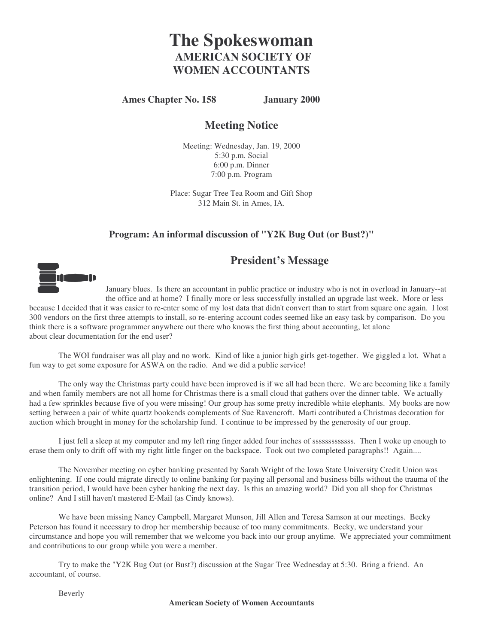# **The Spokeswoman AMERICAN SOCIETY OF WOMEN ACCOUNTANTS**

#### **Ames Chapter No. 158 January 2000**

# **Meeting Notice**

Meeting: Wednesday, Jan. 19, 2000 5:30 p.m. Social 6:00 p.m. Dinner 7:00 p.m. Program

Place: Sugar Tree Tea Room and Gift Shop 312 Main St. in Ames, IA.

#### **Program: An informal discussion of "Y2K Bug Out (or Bust?)"**

### **President's Message**



January blues. Is there an accountant in public practice or industry who is not in overload in January--at the office and at home? I finally more or less successfully installed an upgrade last week. More or less because I decided that it was easier to re-enter some of my lost data that didn't convert than to start from square one again. I lost 300 vendors on the first three attempts to install, so re-entering account codes seemed like an easy task by comparison. Do you think there is a software programmer anywhere out there who knows the first thing about accounting, let alone about clear documentation for the end user?

The WOI fundraiser was all play and no work. Kind of like a junior high girls get-together. We giggled a lot. What a fun way to get some exposure for ASWA on the radio. And we did a public service!

The only way the Christmas party could have been improved is if we all had been there. We are becoming like a family and when family members are not all home for Christmas there is a small cloud that gathers over the dinner table. We actually had a few sprinkles because five of you were missing! Our group has some pretty incredible white elephants. My books are now setting between a pair of white quartz bookends complements of Sue Ravencroft. Marti contributed a Christmas decoration for auction which brought in money for the scholarship fund. I continue to be impressed by the generosity of our group.

I just fell a sleep at my computer and my left ring finger added four inches of sssssssssssss. Then I woke up enough to erase them only to drift off with my right little finger on the backspace. Took out two completed paragraphs!! Again....

The November meeting on cyber banking presented by Sarah Wright of the Iowa State University Credit Union was enlightening. If one could migrate directly to online banking for paying all personal and business bills without the trauma of the transition period, I would have been cyber banking the next day. Is this an amazing world? Did you all shop for Christmas online? And I still haven't mastered E-Mail (as Cindy knows).

We have been missing Nancy Campbell, Margaret Munson, Jill Allen and Teresa Samson at our meetings. Becky Peterson has found it necessary to drop her membership because of too many commitments. Becky, we understand your circumstance and hope you will remember that we welcome you back into our group anytime. We appreciated your commitment and contributions to our group while you were a member.

Try to make the "Y2K Bug Out (or Bust?) discussion at the Sugar Tree Wednesday at 5:30. Bring a friend. An accountant, of course.

Beverly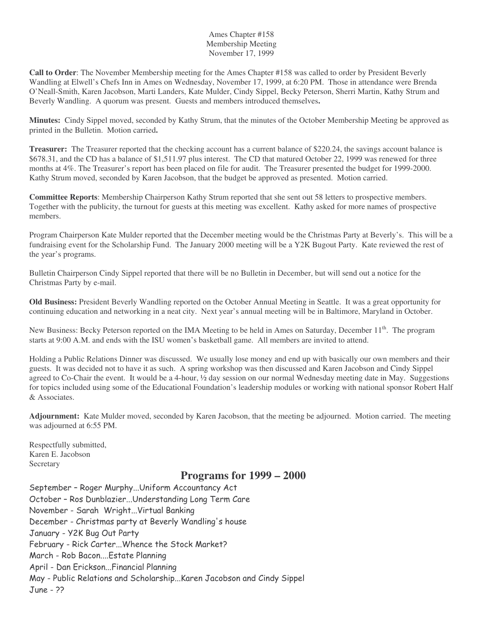#### Ames Chapter #158 Membership Meeting November 17, 1999

**Call to Order**: The November Membership meeting for the Ames Chapter #158 was called to order by President Beverly Wandling at Elwell's Chefs Inn in Ames on Wednesday, November 17, 1999, at 6:20 PM. Those in attendance were Brenda O'Neall-Smith, Karen Jacobson, Marti Landers, Kate Mulder, Cindy Sippel, Becky Peterson, Sherri Martin, Kathy Strum and Beverly Wandling. A quorum was present. Guests and members introduced themselves**.**

**Minutes:** Cindy Sippel moved, seconded by Kathy Strum, that the minutes of the October Membership Meeting be approved as printed in the Bulletin. Motion carried**.**

**Treasurer:** The Treasurer reported that the checking account has a current balance of \$220.24, the savings account balance is \$678.31, and the CD has a balance of \$1,511.97 plus interest. The CD that matured October 22, 1999 was renewed for three months at 4%. The Treasurer's report has been placed on file for audit. The Treasurer presented the budget for 1999-2000. Kathy Strum moved, seconded by Karen Jacobson, that the budget be approved as presented. Motion carried.

**Committee Reports**: Membership Chairperson Kathy Strum reported that she sent out 58 letters to prospective members. Together with the publicity, the turnout for guests at this meeting was excellent. Kathy asked for more names of prospective members.

Program Chairperson Kate Mulder reported that the December meeting would be the Christmas Party at Beverly's. This will be a fundraising event for the Scholarship Fund. The January 2000 meeting will be a Y2K Bugout Party. Kate reviewed the rest of the year's programs.

Bulletin Chairperson Cindy Sippel reported that there will be no Bulletin in December, but will send out a notice for the Christmas Party by e-mail.

**Old Business:** President Beverly Wandling reported on the October Annual Meeting in Seattle. It was a great opportunity for continuing education and networking in a neat city. Next year's annual meeting will be in Baltimore, Maryland in October.

New Business: Becky Peterson reported on the IMA Meeting to be held in Ames on Saturday, December 11<sup>th</sup>. The program starts at 9:00 A.M. and ends with the ISU women's basketball game. All members are invited to attend.

Holding a Public Relations Dinner was discussed. We usually lose money and end up with basically our own members and their guests. It was decided not to have it as such. A spring workshop was then discussed and Karen Jacobson and Cindy Sippel agreed to Co-Chair the event. It would be a 4-hour, ½ day session on our normal Wednesday meeting date in May. Suggestions for topics included using some of the Educational Foundation's leadership modules or working with national sponsor Robert Half & Associates.

**Adjournment:** Kate Mulder moved, seconded by Karen Jacobson, that the meeting be adjourned. Motion carried. The meeting was adjourned at 6:55 PM.

Respectfully submitted, Karen E. Jacobson Secretary

# **Programs for 1999 – 2000**

September – Roger Murphy...Uniform Accountancy Act October – Ros Dunblazier...Understanding Long Term Care November - Sarah Wright…Virtual Banking December - Christmas party at Beverly Wandling's house January - Y2K Bug Out Party February - Rick Carter...Whence the Stock Market? March - Rob Bacon....Estate Planning April - Dan Erickson...Financial Planning May - Public Relations and Scholarship...Karen Jacobson and Cindy Sippel June - ??